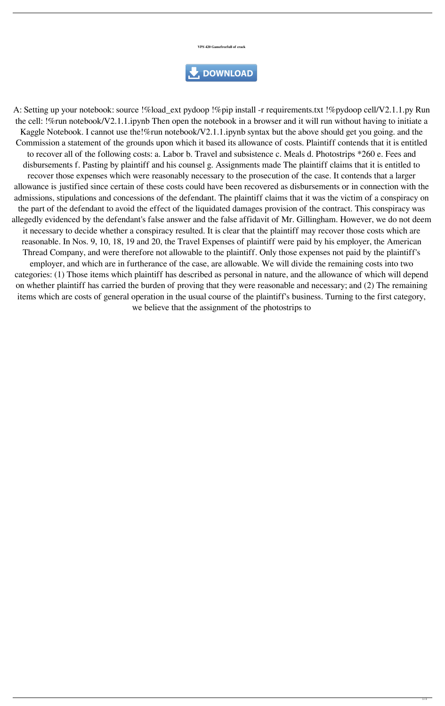**VPS 420 Gamefreefull of crack**

## DOWNLOAD

A: Setting up your notebook: source !%load\_ext pydoop !%pip install -r requirements.txt !%pydoop cell/V2.1.1.py Run the cell: !%run notebook/V2.1.1.ipynb Then open the notebook in a browser and it will run without having to initiate a Kaggle Notebook. I cannot use the!%run notebook/V2.1.1.ipynb syntax but the above should get you going. and the Commission a statement of the grounds upon which it based its allowance of costs. Plaintiff contends that it is entitled to recover all of the following costs: a. Labor b. Travel and subsistence c. Meals d. Photostrips \*260 e. Fees and disbursements f. Pasting by plaintiff and his counsel g. Assignments made The plaintiff claims that it is entitled to recover those expenses which were reasonably necessary to the prosecution of the case. It contends that a larger allowance is justified since certain of these costs could have been recovered as disbursements or in connection with the admissions, stipulations and concessions of the defendant. The plaintiff claims that it was the victim of a conspiracy on the part of the defendant to avoid the effect of the liquidated damages provision of the contract. This conspiracy was allegedly evidenced by the defendant's false answer and the false affidavit of Mr. Gillingham. However, we do not deem it necessary to decide whether a conspiracy resulted. It is clear that the plaintiff may recover those costs which are reasonable. In Nos. 9, 10, 18, 19 and 20, the Travel Expenses of plaintiff were paid by his employer, the American Thread Company, and were therefore not allowable to the plaintiff. Only those expenses not paid by the plaintiff's employer, and which are in furtherance of the case, are allowable. We will divide the remaining costs into two categories: (1) Those items which plaintiff has described as personal in nature, and the allowance of which will depend on whether plaintiff has carried the burden of proving that they were reasonable and necessary; and (2) The remaining items which are costs of general operation in the usual course of the plaintiff's business. Turning to the first category, we believe that the assignment of the photostrips to